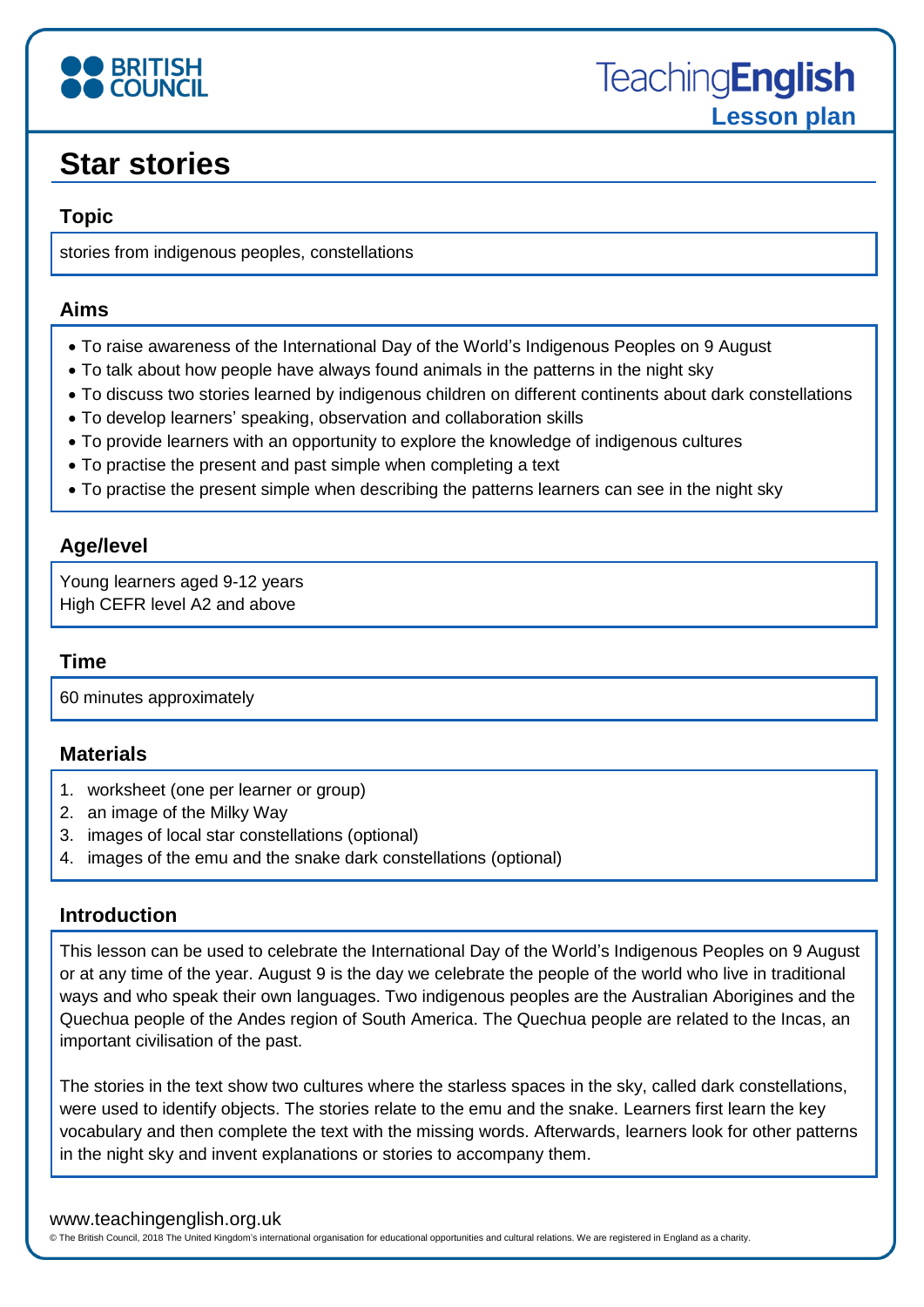

## **Star stories**

### **Topic**

stories from indigenous peoples, constellations

#### **Aims**

- To raise awareness of the International Day of the World's Indigenous Peoples on 9 August
- To talk about how people have always found animals in the patterns in the night sky
- To discuss two stories learned by indigenous children on different continents about dark constellations
- To develop learners' speaking, observation and collaboration skills
- To provide learners with an opportunity to explore the knowledge of indigenous cultures
- To practise the present and past simple when completing a text
- To practise the present simple when describing the patterns learners can see in the night sky

### **Age/level**

Young learners aged 9-12 years High CEFR level A2 and above

#### **Time**

60 minutes approximately

#### **Materials**

- 1. worksheet (one per learner or group)
- 2. an image of the Milky Way
- 3. images of local star constellations (optional)
- 4. images of the emu and the snake dark constellations (optional)

#### **Introduction**

This lesson can be used to celebrate the International Day of the World's Indigenous Peoples on 9 August or at any time of the year. August 9 is the day we celebrate the people of the world who live in traditional ways and who speak their own languages. Two indigenous peoples are the Australian Aborigines and the Quechua people of the Andes region of South America. The Quechua people are related to the Incas, an important civilisation of the past.

The stories in the text show two cultures where the starless spaces in the sky, called dark constellations, were used to identify objects. The stories relate to the emu and the snake. Learners first learn the key vocabulary and then complete the text with the missing words. Afterwards, learners look for other patterns in the night sky and invent explanations or stories to accompany them.

#### www.teachingenglish.org.uk

© The British Council, 2018 The United Kingdom's international organisation for educational opportunities and cultural relations. We are registered in England as a charity.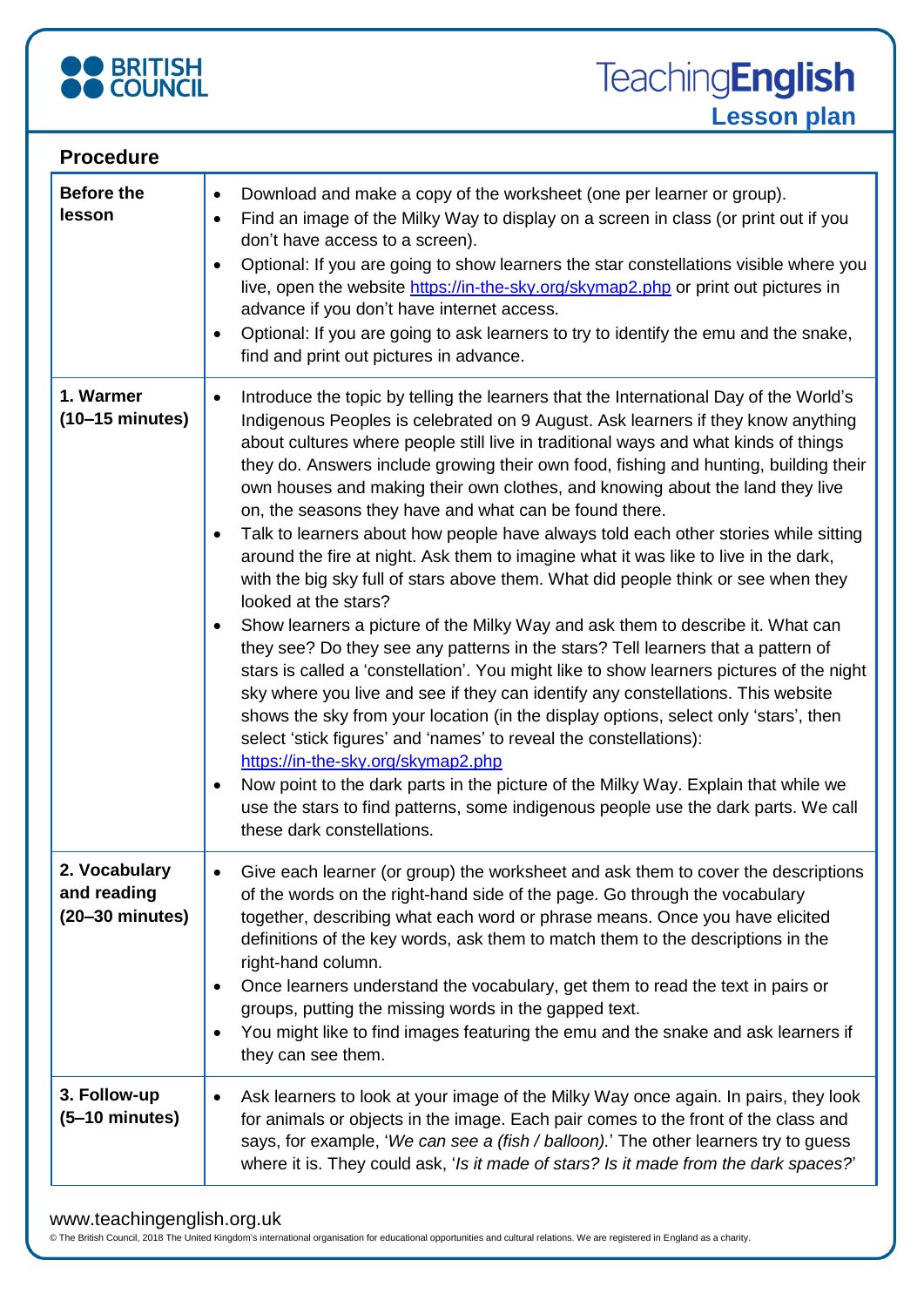

| <b>Procedure</b>                                          |                                                                                                                                                                                                                                                                                                                                                                                                                                                                                                                                                                                                                                                                                                                                                                                                                                                                                                                                                                                                                                                                                                                                                                                                                                                                                                                                                                                                                                                                                                                                                                                                              |
|-----------------------------------------------------------|--------------------------------------------------------------------------------------------------------------------------------------------------------------------------------------------------------------------------------------------------------------------------------------------------------------------------------------------------------------------------------------------------------------------------------------------------------------------------------------------------------------------------------------------------------------------------------------------------------------------------------------------------------------------------------------------------------------------------------------------------------------------------------------------------------------------------------------------------------------------------------------------------------------------------------------------------------------------------------------------------------------------------------------------------------------------------------------------------------------------------------------------------------------------------------------------------------------------------------------------------------------------------------------------------------------------------------------------------------------------------------------------------------------------------------------------------------------------------------------------------------------------------------------------------------------------------------------------------------------|
| <b>Before the</b><br>lesson                               | Download and make a copy of the worksheet (one per learner or group).<br>$\bullet$<br>Find an image of the Milky Way to display on a screen in class (or print out if you<br>$\bullet$<br>don't have access to a screen).<br>Optional: If you are going to show learners the star constellations visible where you<br>$\bullet$<br>live, open the website https://in-the-sky.org/skymap2.php or print out pictures in<br>advance if you don't have internet access.<br>Optional: If you are going to ask learners to try to identify the emu and the snake,<br>٠<br>find and print out pictures in advance.                                                                                                                                                                                                                                                                                                                                                                                                                                                                                                                                                                                                                                                                                                                                                                                                                                                                                                                                                                                                  |
| 1. Warmer<br>$(10-15 \text{ minutes})$                    | Introduce the topic by telling the learners that the International Day of the World's<br>$\bullet$<br>Indigenous Peoples is celebrated on 9 August. Ask learners if they know anything<br>about cultures where people still live in traditional ways and what kinds of things<br>they do. Answers include growing their own food, fishing and hunting, building their<br>own houses and making their own clothes, and knowing about the land they live<br>on, the seasons they have and what can be found there.<br>Talk to learners about how people have always told each other stories while sitting<br>٠<br>around the fire at night. Ask them to imagine what it was like to live in the dark,<br>with the big sky full of stars above them. What did people think or see when they<br>looked at the stars?<br>Show learners a picture of the Milky Way and ask them to describe it. What can<br>$\bullet$<br>they see? Do they see any patterns in the stars? Tell learners that a pattern of<br>stars is called a 'constellation'. You might like to show learners pictures of the night<br>sky where you live and see if they can identify any constellations. This website<br>shows the sky from your location (in the display options, select only 'stars', then<br>select 'stick figures' and 'names' to reveal the constellations):<br>https://in-the-sky.org/skymap2.php<br>Now point to the dark parts in the picture of the Milky Way. Explain that while we<br>$\bullet$<br>use the stars to find patterns, some indigenous people use the dark parts. We call<br>these dark constellations. |
| 2. Vocabulary<br>and reading<br>$(20-30 \text{ minutes})$ | Give each learner (or group) the worksheet and ask them to cover the descriptions<br>of the words on the right-hand side of the page. Go through the vocabulary<br>together, describing what each word or phrase means. Once you have elicited<br>definitions of the key words, ask them to match them to the descriptions in the<br>right-hand column.<br>Once learners understand the vocabulary, get them to read the text in pairs or<br>groups, putting the missing words in the gapped text.<br>You might like to find images featuring the emu and the snake and ask learners if<br>$\bullet$<br>they can see them.                                                                                                                                                                                                                                                                                                                                                                                                                                                                                                                                                                                                                                                                                                                                                                                                                                                                                                                                                                                   |
| 3. Follow-up<br>$(5-10 \text{ minutes})$                  | Ask learners to look at your image of the Milky Way once again. In pairs, they look<br>for animals or objects in the image. Each pair comes to the front of the class and<br>says, for example, 'We can see a (fish / balloon).' The other learners try to guess<br>where it is. They could ask, 'Is it made of stars? Is it made from the dark spaces?'                                                                                                                                                                                                                                                                                                                                                                                                                                                                                                                                                                                                                                                                                                                                                                                                                                                                                                                                                                                                                                                                                                                                                                                                                                                     |

#### www.teachingenglish.org.uk

© The British Council, 2018 The United Kingdom's international organisation for educational opportunities and cultural relations. We are registered in England as a charity.